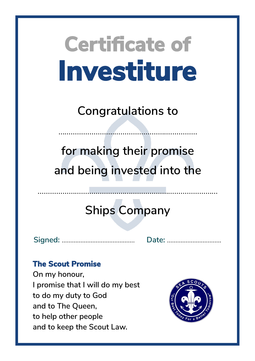**Congratulations to**

……………………………………………….…………

**for making their promise and being invested into the**

## **Ships Company**

**Signed:** ……………...……………………. **Date:** …………………....…….

### **The Scout Promise**

**On my honour, I promise that I will do my best to do my duty to God and to The Queen, to help other people and to keep the Scout Law.**

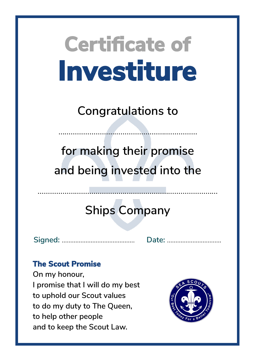**Congratulations to**

……………………………………………….…………

**for making their promise and being invested into the**

## **Ships Company**

……………………………………...……………………………………

**Signed:** ……………...……………………. **Date:** …………………....…….

### **The Scout Promise**

**On my honour, I promise that I will do my best to uphold our Scout values to do my duty to The Queen, to help other people and to keep the Scout Law.**

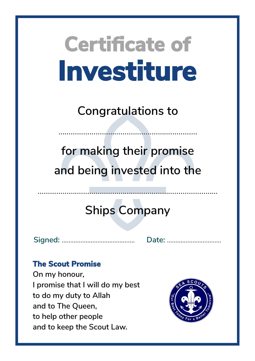**Congratulations to**

……………………………………………….…………

**for making their promise and being invested into the**

## **Ships Company**

**Signed:** ……………...……………………. **Date:** …………………....…….

### **The Scout Promise**

**On my honour, I promise that I will do my best to do my duty to Allah and to The Queen, to help other people and to keep the Scout Law.**

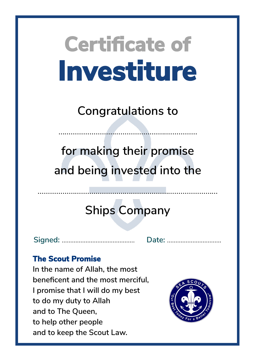**Congratulations to**

……………………………………………….…………

**for making their promise and being invested into the**

## **Ships Company**

**Signed:** ……………...……………………. **Date:** …………………....…….

#### **The Scout Promise**

**In the name of Allah, the most beneficent and the most merciful, I promise that I will do my best to do my duty to Allah and to The Queen, to help other people and to keep the Scout Law.**

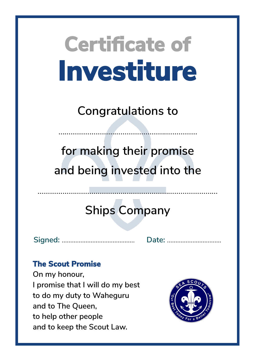**Congratulations to**

……………………………………………….…………

**for making their promise and being invested into the**

## **Ships Company**

……………………………………...……………………………………

**Signed:** ……………...……………………. **Date:** …………………....…….

### **The Scout Promise**

**On my honour, I promise that I will do my best to do my duty to Waheguru and to The Queen, to help other people and to keep the Scout Law.**

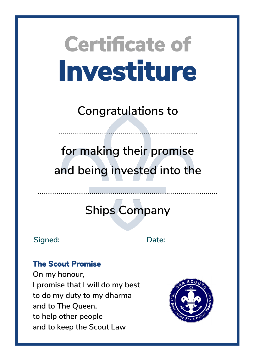**Congratulations to**

……………………………………………….…………

**for making their promise and being invested into the**

## **Ships Company**

……………………………………...……………………………………

**Signed:** ……………...……………………. **Date:** …………………....…….

### **The Scout Promise**

**On my honour, I promise that I will do my best to do my duty to my dharma and to The Queen, to help other people and to keep the Scout Law**